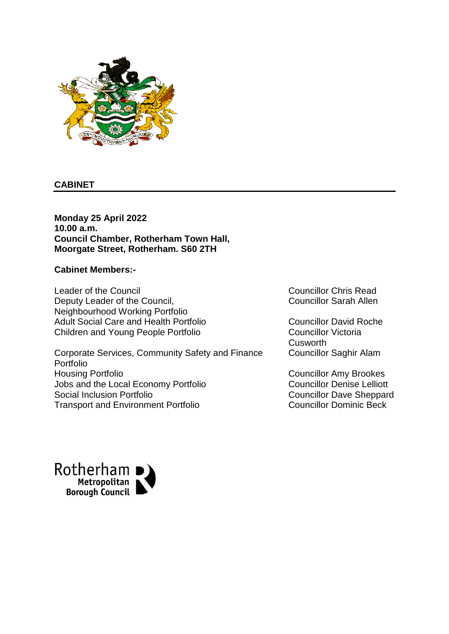

### **CABINET**

**Monday 25 April 2022 10.00 a.m. Council Chamber, Rotherham Town Hall, Moorgate Street, Rotherham. S60 2TH**

#### **Cabinet Members:-**

Leader of the Council **Council** Councillor Chris Read Deputy Leader of the Council, Neighbourhood Working Portfolio Adult Social Care and Health Portfolio Councillor David Roche Children and Young People Portfolio Councillor Victoria

Corporate Services, Community Safety and Finance Portfolio Housing Portfolio Councillor Amy Brookes Jobs and the Local Economy Portfolio Councillor Denise Lelliott Social Inclusion Portfolio Councillor Dave Sheppard Transport and Environment Portfolio **Councillor Dominic Beck** 

Councillor Sarah Allen

**Cusworth** Councillor Saghir Alam

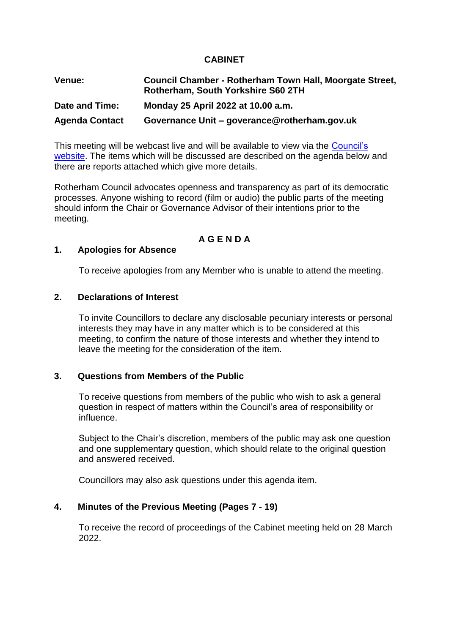### **CABINET**

| Venue:                | Council Chamber - Rotherham Town Hall, Moorgate Street,<br>Rotherham, South Yorkshire S60 2TH |
|-----------------------|-----------------------------------------------------------------------------------------------|
| Date and Time:        | Monday 25 April 2022 at 10.00 a.m.                                                            |
| <b>Agenda Contact</b> | Governance Unit - goverance@rotherham.gov.uk                                                  |

This meeting will be webcast live and will be available to view via the Council's [website.](https://moderngov.rotherham.gov.uk/mgCommitteeDetails.aspx?ID=1103) The items which will be discussed are described on the agenda below and there are reports attached which give more details.

Rotherham Council advocates openness and transparency as part of its democratic processes. Anyone wishing to record (film or audio) the public parts of the meeting should inform the Chair or Governance Advisor of their intentions prior to the meeting.

# **A G E N D A**

#### **1. Apologies for Absence**

To receive apologies from any Member who is unable to attend the meeting.

#### **2. Declarations of Interest**

To invite Councillors to declare any disclosable pecuniary interests or personal interests they may have in any matter which is to be considered at this meeting, to confirm the nature of those interests and whether they intend to leave the meeting for the consideration of the item.

### **3. Questions from Members of the Public**

To receive questions from members of the public who wish to ask a general question in respect of matters within the Council's area of responsibility or influence.

Subject to the Chair's discretion, members of the public may ask one question and one supplementary question, which should relate to the original question and answered received.

Councillors may also ask questions under this agenda item.

#### **4. Minutes of the Previous Meeting (Pages 7 - 19)**

To receive the record of proceedings of the Cabinet meeting held on 28 March 2022.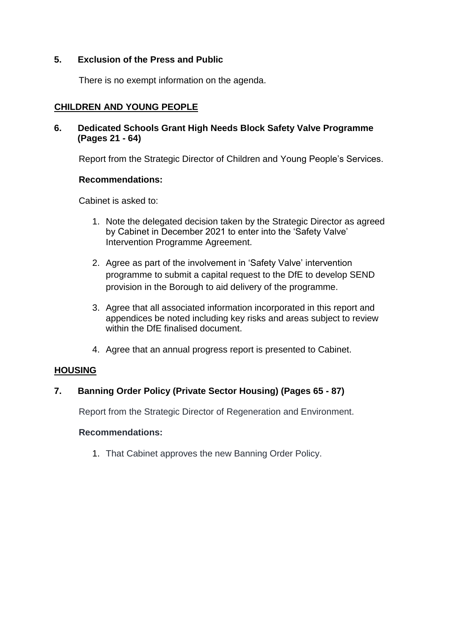### **5. Exclusion of the Press and Public**

There is no exempt information on the agenda.

# **CHILDREN AND YOUNG PEOPLE**

# **6. Dedicated Schools Grant High Needs Block Safety Valve Programme (Pages 21 - 64)**

Report from the Strategic Director of Children and Young People's Services.

### **Recommendations:**

Cabinet is asked to:

- 1. Note the delegated decision taken by the Strategic Director as agreed by Cabinet in December 2021 to enter into the 'Safety Valve' Intervention Programme Agreement.
- 2. Agree as part of the involvement in 'Safety Valve' intervention programme to submit a capital request to the DfE to develop SEND provision in the Borough to aid delivery of the programme.
- 3. Agree that all associated information incorporated in this report and appendices be noted including key risks and areas subject to review within the DfE finalised document.
- 4. Agree that an annual progress report is presented to Cabinet.

# **HOUSING**

# **7. Banning Order Policy (Private Sector Housing) (Pages 65 - 87)**

Report from the Strategic Director of Regeneration and Environment.

# **Recommendations:**

1. That Cabinet approves the new Banning Order Policy.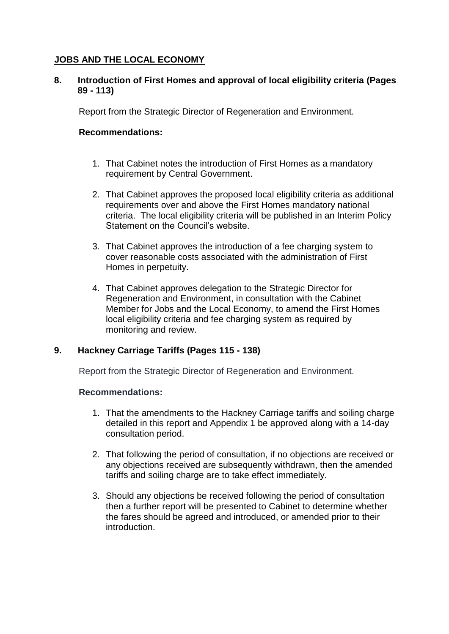# **JOBS AND THE LOCAL ECONOMY**

### **8. Introduction of First Homes and approval of local eligibility criteria (Pages 89 - 113)**

Report from the Strategic Director of Regeneration and Environment.

### **Recommendations:**

- 1. That Cabinet notes the introduction of First Homes as a mandatory requirement by Central Government.
- 2. That Cabinet approves the proposed local eligibility criteria as additional requirements over and above the First Homes mandatory national criteria. The local eligibility criteria will be published in an Interim Policy Statement on the Council's website.
- 3. That Cabinet approves the introduction of a fee charging system to cover reasonable costs associated with the administration of First Homes in perpetuity.
- 4. That Cabinet approves delegation to the Strategic Director for Regeneration and Environment, in consultation with the Cabinet Member for Jobs and the Local Economy, to amend the First Homes local eligibility criteria and fee charging system as required by monitoring and review.

# **9. Hackney Carriage Tariffs (Pages 115 - 138)**

Report from the Strategic Director of Regeneration and Environment.

#### **Recommendations:**

- 1. That the amendments to the Hackney Carriage tariffs and soiling charge detailed in this report and Appendix 1 be approved along with a 14-day consultation period.
- 2. That following the period of consultation, if no objections are received or any objections received are subsequently withdrawn, then the amended tariffs and soiling charge are to take effect immediately.
- 3. Should any objections be received following the period of consultation then a further report will be presented to Cabinet to determine whether the fares should be agreed and introduced, or amended prior to their introduction.